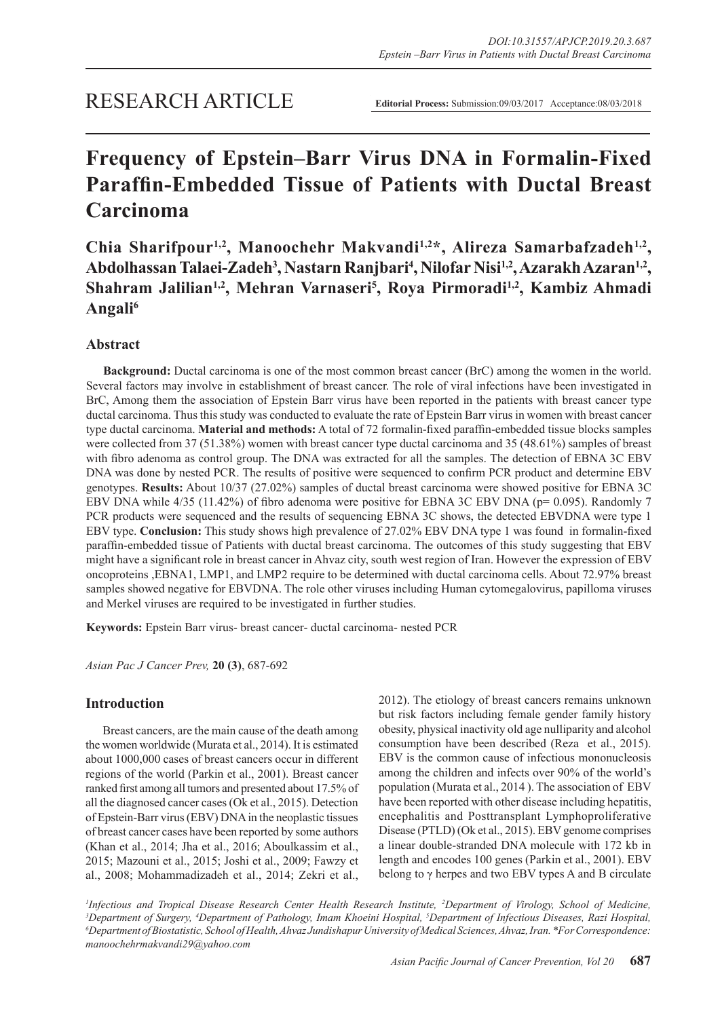# **Frequency of Epstein–Barr Virus DNA in Formalin-Fixed Paraffin-Embedded Tissue of Patients with Ductal Breast Carcinoma**

Chia Sharifpour<sup>1,2</sup>, Manoochehr Makvandi<sup>1,2\*</sup>, Alireza Samarbafzadeh<sup>1,2</sup>, Abdolhassan Talaei-Zadeh<sup>3</sup>, Nastarn Ranjbari<sup>4</sup>, Nilofar Nisi<sup>1,2</sup>, Azarakh Azaran<sup>1,2</sup>, Shahram Jalilian<sup>1,2</sup>, Mehran Varnaseri<sup>5</sup>, Roya Pirmoradi<sup>1,2</sup>, Kambiz Ahmadi **Angali6**

# **Abstract**

**Background:** Ductal carcinoma is one of the most common breast cancer (BrC) among the women in the world. Several factors may involve in establishment of breast cancer. The role of viral infections have been investigated in BrC, Among them the association of Epstein Barr virus have been reported in the patients with breast cancer type ductal carcinoma. Thus this study was conducted to evaluate the rate of Epstein Barr virus in women with breast cancer type ductal carcinoma. **Material and methods:** A total of 72 formalin-fixed paraffin-embedded tissue blocks samples were collected from 37 (51.38%) women with breast cancer type ductal carcinoma and 35 (48.61%) samples of breast with fibro adenoma as control group. The DNA was extracted for all the samples. The detection of EBNA 3C EBV DNA was done by nested PCR. The results of positive were sequenced to confirm PCR product and determine EBV genotypes. **Results:** About 10/37 (27.02%) samples of ductal breast carcinoma were showed positive for EBNA 3C EBV DNA while 4/35 (11.42%) of fibro adenoma were positive for EBNA 3C EBV DNA (p= 0.095). Randomly 7 PCR products were sequenced and the results of sequencing EBNA 3C shows, the detected EBVDNA were type 1 EBV type. **Conclusion:** This study shows high prevalence of 27.02% EBV DNA type 1 was found in formalin-fixed paraffin-embedded tissue of Patients with ductal breast carcinoma. The outcomes of this study suggesting that EBV might have a significant role in breast cancer in Ahvaz city, south west region of Iran. However the expression of EBV oncoproteins ,EBNA1, LMP1, and LMP2 require to be determined with ductal carcinoma cells. About 72.97% breast samples showed negative for EBVDNA. The role other viruses including Human cytomegalovirus, papilloma viruses and Merkel viruses are required to be investigated in further studies.

**Keywords:** Epstein Barr virus- breast cancer- ductal carcinoma- nested PCR

*Asian Pac J Cancer Prev,* **20 (3)**, 687-692

# **Introduction**

Breast cancers, are the main cause of the death among the women worldwide (Murata et al., 2014). It is estimated about 1000,000 cases of breast cancers occur in different regions of the world (Parkin et al., 2001). Breast cancer ranked first among all tumors and presented about 17.5% of all the diagnosed cancer cases (Ok et al., 2015). Detection of Epstein-Barr virus (EBV) DNA in the neoplastic tissues of breast cancer cases have been reported by some authors (Khan et al., 2014; Jha et al., 2016; Aboulkassim et al., 2015; Mazouni et al., 2015; Joshi et al., 2009; Fawzy et al., 2008; Mohammadizadeh et al., 2014; Zekri et al., 2012). The etiology of breast cancers remains unknown but risk factors including female gender family history obesity, physical inactivity old age nulliparity and alcohol consumption have been described (Reza et al., 2015). EBV is the common cause of infectious mononucleosis among the children and infects over 90% of the world's population (Murata et al., 2014 ). The association of EBV have been reported with other disease including hepatitis, encephalitis and Posttransplant Lymphoproliferative Disease (PTLD) (Ok et al., 2015). EBV genome comprises a linear double-stranded DNA molecule with 172 kb in length and encodes 100 genes (Parkin et al., 2001). EBV belong to  $\gamma$  herpes and two EBV types A and B circulate

*<sup>1</sup>Infectious and Tropical Disease Research Center Health Research Institute, <sup>2</sup>Department of Virology, School of Medicine, <sup>3</sup>Department of <i>Syrgery*, <sup>4</sup>Department of *Party Hospital*, <sup>3</sup>Department of *Infectious Dise* <sup>3</sup>Department of Surgery, <sup>4</sup>Department of Pathology, Imam Khoeini Hospital, <sup>5</sup>Department of Infectious Diseases, Razi Hospital,<br><sup>6</sup>Department of Biostatistic School of Health Abyaz Jundishapur University of Medical Scien *Department of Biostatistic, School of Health, Ahvaz Jundishapur University of Medical Sciences, Ahvaz, Iran. \*For Correspondence: manoochehrmakvandi29@yahoo.com*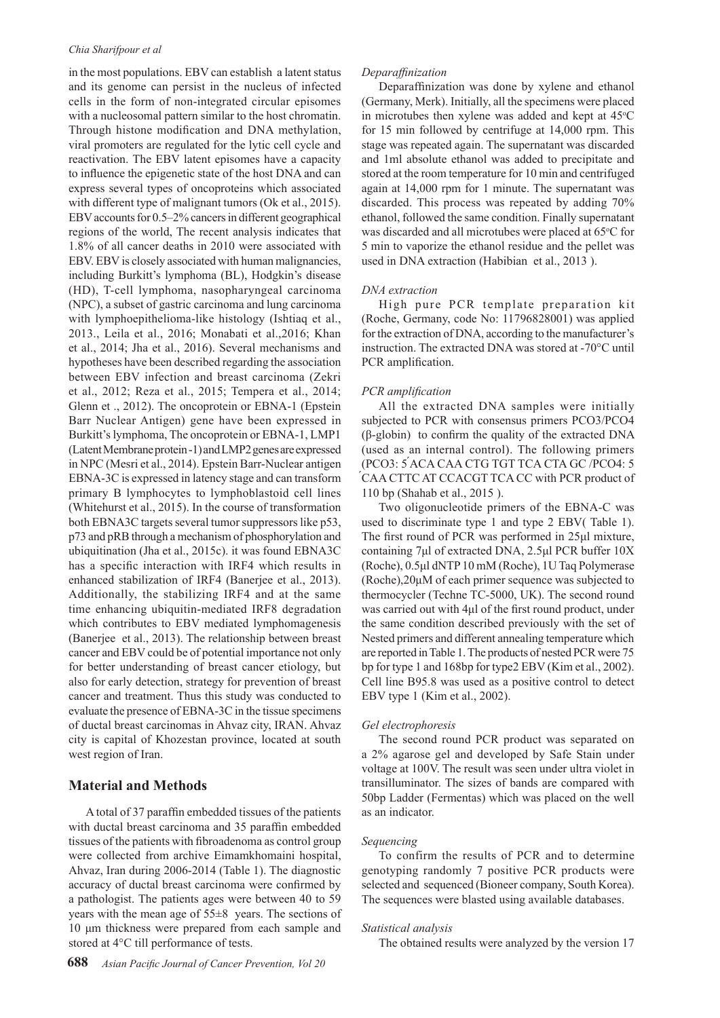#### *Chia Sharifpour et al*

in the most populations. EBV can establish a latent status and its genome can persist in the nucleus of infected cells in the form of non-integrated circular episomes with a nucleosomal pattern similar to the host chromatin. Through histone modification and DNA methylation, viral promoters are regulated for the lytic cell cycle and reactivation. The EBV latent episomes have a capacity to influence the epigenetic state of the host DNA and can express several types of oncoproteins which associated with different type of malignant tumors (Ok et al., 2015). EBV accounts for 0.5–2% cancers in different geographical regions of the world, The recent analysis indicates that 1.8% of all cancer deaths in 2010 were associated with EBV. EBV is closely associated with human malignancies, including Burkitt's lymphoma (BL), Hodgkin's disease (HD), T-cell lymphoma, nasopharyngeal carcinoma (NPC), a subset of gastric carcinoma and lung carcinoma with lymphoepithelioma-like histology (Ishtiaq et al., 2013., Leila et al., 2016; Monabati et al.,2016; Khan et al., 2014; Jha et al., 2016). Several mechanisms and hypotheses have been described regarding the association between EBV infection and breast carcinoma (Zekri et al., 2012; Reza et al., 2015; Tempera et al., 2014; Glenn et ., 2012). The oncoprotein or EBNA-1 (Epstein Barr Nuclear Antigen) gene have been expressed in Burkitt's lymphoma, The oncoprotein or EBNA-1, LMP1 (Latent Membrane protein -1) and LMP2 genes are expressed in NPC (Mesri et al., 2014). Epstein Barr-Nuclear antigen EBNA-3C is expressed in latency stage and can transform primary B lymphocytes to lymphoblastoid cell lines (Whitehurst et al., 2015). In the course of transformation both EBNA3C targets several tumor suppressors like p53, p73 and pRB through a mechanism of phosphorylation and ubiquitination (Jha et al., 2015c). it was found EBNA3C has a specific interaction with IRF4 which results in enhanced stabilization of IRF4 (Banerjee et al., 2013). Additionally, the stabilizing IRF4 and at the same time enhancing ubiquitin-mediated IRF8 degradation which contributes to EBV mediated lymphomagenesis (Banerjee et al., 2013). The relationship between breast cancer and EBV could be of potential importance not only for better understanding of breast cancer etiology, but also for early detection, strategy for prevention of breast cancer and treatment. Thus this study was conducted to evaluate the presence of EBNA-3C in the tissue specimens of ductal breast carcinomas in Ahvaz city, IRAN. Ahvaz city is capital of Khozestan province, located at south west region of Iran.

# **Material and Methods**

A total of 37 paraffin embedded tissues of the patients with ductal breast carcinoma and 35 paraffin embedded tissues of the patients with fibroadenoma as control group were collected from archive Eimamkhomaini hospital, Ahvaz, Iran during 2006-2014 (Table 1). The diagnostic accuracy of ductal breast carcinoma were confirmed by a pathologist. The patients ages were between 40 to 59 years with the mean age of 55±8 years. The sections of 10 μm thickness were prepared from each sample and stored at 4°C till performance of tests.

## *Deparaffinization*

Deparaffinization was done by xylene and ethanol (Germany, Merk). Initially, all the specimens were placed in microtubes then xylene was added and kept at  $45^{\circ}$ C for 15 min followed by centrifuge at 14,000 rpm. This stage was repeated again. The supernatant was discarded and 1ml absolute ethanol was added to precipitate and stored at the room temperature for 10 min and centrifuged again at 14,000 rpm for 1 minute. The supernatant was discarded. This process was repeated by adding 70% ethanol, followed the same condition. Finally supernatant was discarded and all microtubes were placed at 65°C for 5 min to vaporize the ethanol residue and the pellet was used in DNA extraction (Habibian et al., 2013 ).

#### *DNA extraction*

High pure PCR template preparation kit (Roche, Germany, code No: 11796828001) was applied for the extraction of DNA, according to the manufacturer's instruction. The extracted DNA was stored at -70°C until PCR amplification.

#### *PCR amplification*

All the extracted DNA samples were initially subjected to PCR with consensus primers PCO3/PCO4 (β-globin) to confirm the quality of the extracted DNA (used as an internal control). The following primers (PCO3: 5 ́ACA CAA CTG TGT TCA CTA GC /PCO4: 5 ́CAA CTTC AT CCACGT TCA CC with PCR product of 110 bp (Shahab et al., 2015 ).

Two oligonucleotide primers of the EBNA-C was used to discriminate type 1 and type 2 EBV( Table 1). The first round of PCR was performed in 25μl mixture, containing 7μl of extracted DNA, 2.5μl PCR buffer 10X (Roche), 0.5μl dNTP 10 mM (Roche), 1U Taq Polymerase (Roche),20μM of each primer sequence was subjected to thermocycler (Techne TC-5000, UK). The second round was carried out with 4μl of the first round product, under the same condition described previously with the set of Nested primers and different annealing temperature which are reported in Table 1. The products of nested PCR were 75 bp for type 1 and 168bp for type2 EBV (Kim et al., 2002). Cell line B95.8 was used as a positive control to detect EBV type 1 (Kim et al., 2002).

#### *Gel electrophoresis*

The second round PCR product was separated on a 2% agarose gel and developed by Safe Stain under voltage at 100V. The result was seen under ultra violet in transilluminator. The sizes of bands are compared with 50bp Ladder (Fermentas) which was placed on the well as an indicator.

#### *Sequencing*

To confirm the results of PCR and to determine genotyping randomly 7 positive PCR products were selected and sequenced (Bioneer company, South Korea). The sequences were blasted using available databases.

#### *Statistical analysis*

The obtained results were analyzed by the version 17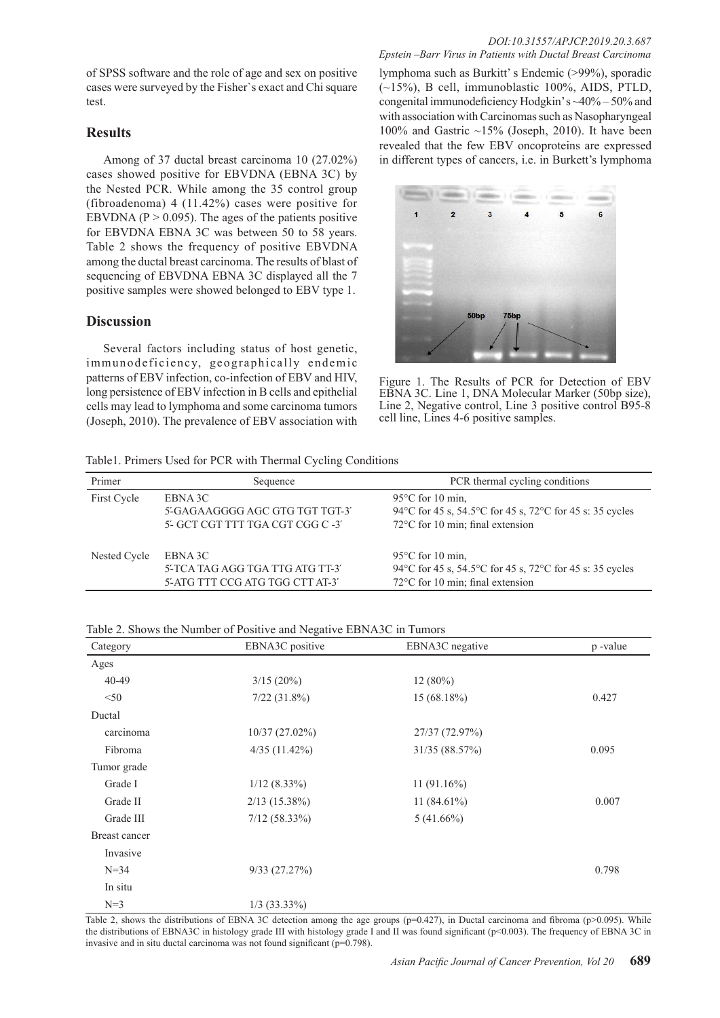of SPSS software and the role of age and sex on positive cases were surveyed by the Fisher`s exact and Chi square test.

# **Results**

Among of 37 ductal breast carcinoma 10 (27.02%) cases showed positive for EBVDNA (EBNA 3C) by the Nested PCR. While among the 35 control group (fibroadenoma) 4 (11.42%) cases were positive for EBVDNA ( $P > 0.095$ ). The ages of the patients positive for EBVDNA EBNA 3C was between 50 to 58 years. Table 2 shows the frequency of positive EBVDNA among the ductal breast carcinoma. The results of blast of sequencing of EBVDNA EBNA 3C displayed all the 7 positive samples were showed belonged to EBV type 1.

## **Discussion**

Several factors including status of host genetic, immunodeficiency, geographically endemic patterns of EBV infection, co-infection of EBV and HIV, long persistence of EBV infection in B cells and epithelial cells may lead to lymphoma and some carcinoma tumors (Joseph, 2010). The prevalence of EBV association with

lymphoma such as Burkitt' s Endemic (>99%), sporadic  $(\sim15\%)$ , B cell, immunoblastic 100%, AIDS, PTLD, congenital immunodeficiency Hodgkin' s ~40% – 50% and with association with Carcinomas such as Nasopharyngeal 100% and Gastric  $~15\%$  (Joseph, 2010). It have been revealed that the few EBV oncoproteins are expressed in different types of cancers, i.e. in Burkett's lymphoma



Figure 1. The Results of PCR for Detection of EBV EBNA 3C. Line 1, DNA Molecular Marker (50bp size), Line 2, Negative control, Line 3 positive control B95-8 cell line, Lines 4-6 positive samples.

Table1. Primers Used for PCR with Thermal Cycling Conditions

| Primer       | Sequence                                                                        | PCR thermal cycling conditions                                                                                                          |  |
|--------------|---------------------------------------------------------------------------------|-----------------------------------------------------------------------------------------------------------------------------------------|--|
| First Cycle  | EBNA 3C<br>5'-GAGAAGGGG AGC GTG TGT TGT-3'<br>5'- GCT CGT TTT TGA CGT CGG C -3' | 95 $\degree$ C for 10 min.<br>94 °C for 45 s, 54.5 °C for 45 s, 72 °C for 45 s: 35 cycles<br>$72^{\circ}$ C for 10 min; final extension |  |
| Nested Cycle | EBNA 3C<br>5'-TCA TAG AGG TGA TTG ATG TT-3'<br>5'-ATG TTT CCG ATG TGG CTT AT-3' | 95 $\degree$ C for 10 min.<br>94°C for 45 s, 54.5°C for 45 s, 72°C for 45 s: 35 cycles<br>$72^{\circ}$ C for 10 min; final extension    |  |

| Category      | EBNA3C positive   | EBNA3C negative | p-value |
|---------------|-------------------|-----------------|---------|
| Ages          |                   |                 |         |
| $40 - 49$     | $3/15(20\%)$      | $12(80\%)$      |         |
| < 50          | $7/22$ $(31.8\%)$ | 15(68.18%)      | 0.427   |
| Ductal        |                   |                 |         |
| carcinoma     | 10/37(27.02%)     | 27/37 (72.97%)  |         |
| Fibroma       | 4/35(11.42%)      | 31/35 (88.57%)  | 0.095   |
| Tumor grade   |                   |                 |         |
| Grade I       | $1/12$ (8.33%)    | $11(91.16\%)$   |         |
| Grade II      | $2/13$ (15.38%)   | $11(84.61\%)$   | 0.007   |
| Grade III     | $7/12$ (58.33%)   | $5(41.66\%)$    |         |
| Breast cancer |                   |                 |         |
| Invasive      |                   |                 |         |
| $N = 34$      | 9/33(27.27%)      |                 | 0.798   |
| In situ       |                   |                 |         |
| $N=3$         | $1/3$ (33.33%)    |                 |         |

Table 2, shows the distributions of EBNA 3C detection among the age groups (p=0.427), in Ductal carcinoma and fibroma (p>0.095). While the distributions of EBNA3C in histology grade III with histology grade I and II was found significant (p<0.003). The frequency of EBNA 3C in invasive and in situ ductal carcinoma was not found significant ( $p=0.798$ ).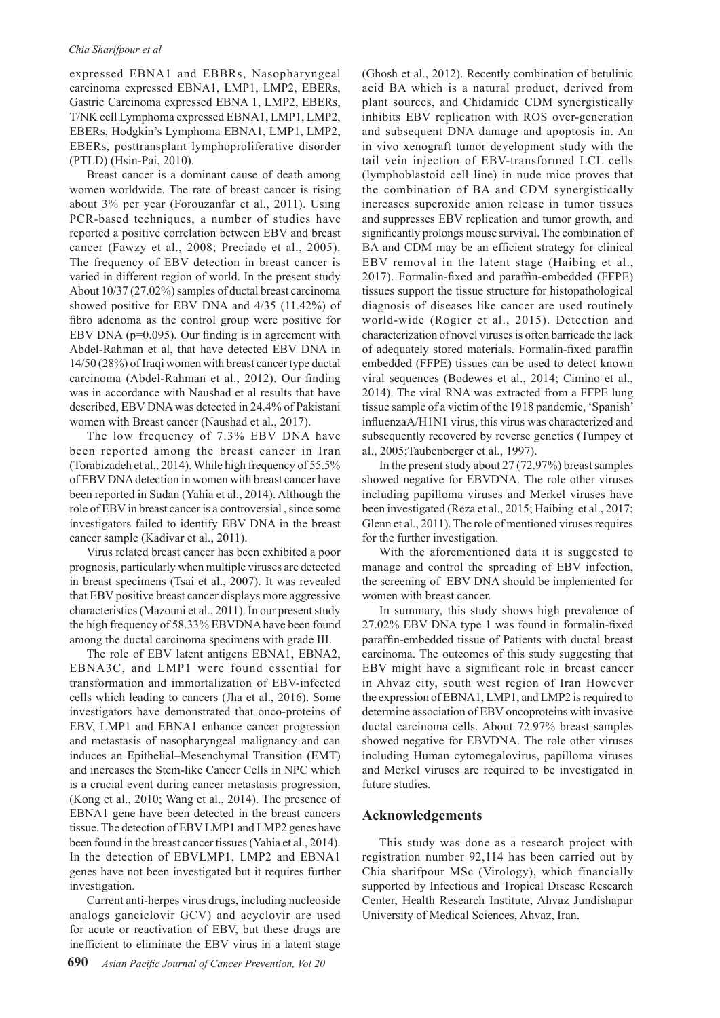### *Chia Sharifpour et al*

expressed EBNA1 and EBBRs, Nasopharyngeal carcinoma expressed EBNA1, LMP1, LMP2, EBERs, Gastric Carcinoma expressed EBNA 1, LMP2, EBERs, T/NK cell Lymphoma expressed EBNA1, LMP1, LMP2, EBERs, Hodgkin's Lymphoma EBNA1, LMP1, LMP2, EBERs, posttransplant lymphoproliferative disorder (PTLD) (Hsin-Pai, 2010).

Breast cancer is a dominant cause of death among women worldwide. The rate of breast cancer is rising about 3% per year (Forouzanfar et al., 2011). Using PCR-based techniques, a number of studies have reported a positive correlation between EBV and breast cancer (Fawzy et al., 2008; Preciado et al., 2005). The frequency of EBV detection in breast cancer is varied in different region of world. In the present study About 10/37 (27.02%) samples of ductal breast carcinoma showed positive for EBV DNA and 4/35 (11.42%) of fibro adenoma as the control group were positive for EBV DNA (p=0.095). Our finding is in agreement with Abdel-Rahman et al, that have detected EBV DNA in 14/50 (28%) of Iraqi women with breast cancer type ductal carcinoma (Abdel-Rahman et al., 2012). Our finding was in accordance with Naushad et al results that have described, EBV DNA was detected in 24.4% of Pakistani women with Breast cancer (Naushad et al., 2017).

The low frequency of 7.3% EBV DNA have been reported among the breast cancer in Iran (Torabizadeh et al., 2014). While high frequency of 55.5% of EBV DNA detection in women with breast cancer have been reported in Sudan (Yahia et al., 2014). Although the role of EBV in breast cancer is a controversial , since some investigators failed to identify EBV DNA in the breast cancer sample (Kadivar et al., 2011).

Virus related breast cancer has been exhibited a poor prognosis, particularly when multiple viruses are detected in breast specimens (Tsai et al., 2007). It was revealed that EBV positive breast cancer displays more aggressive characteristics (Mazouni et al., 2011). In our present study the high frequency of 58.33% EBVDNA have been found among the ductal carcinoma specimens with grade III.

The role of EBV latent antigens EBNA1, EBNA2, EBNA3C, and LMP1 were found essential for transformation and immortalization of EBV-infected cells which leading to cancers (Jha et al., 2016). Some investigators have demonstrated that onco-proteins of EBV, LMP1 and EBNA1 enhance cancer progression and metastasis of nasopharyngeal malignancy and can induces an Epithelial–Mesenchymal Transition (EMT) and increases the Stem-like Cancer Cells in NPC which is a crucial event during cancer metastasis progression, (Kong et al., 2010; Wang et al., 2014). The presence of EBNA1 gene have been detected in the breast cancers tissue. The detection of EBV LMP1 and LMP2 genes have been found in the breast cancer tissues (Yahia et al., 2014). In the detection of EBVLMP1, LMP2 and EBNA1 genes have not been investigated but it requires further investigation.

Current anti-herpes virus drugs, including nucleoside analogs ganciclovir GCV) and acyclovir are used for acute or reactivation of EBV, but these drugs are inefficient to eliminate the EBV virus in a latent stage (Ghosh et al., 2012). Recently combination of betulinic acid BA which is a natural product, derived from plant sources, and Chidamide CDM synergistically inhibits EBV replication with ROS over-generation and subsequent DNA damage and apoptosis in. An in vivo xenograft tumor development study with the tail vein injection of EBV-transformed LCL cells (lymphoblastoid cell line) in nude mice proves that the combination of BA and CDM synergistically increases superoxide anion release in tumor tissues and suppresses EBV replication and tumor growth, and significantly prolongs mouse survival. The combination of BA and CDM may be an efficient strategy for clinical EBV removal in the latent stage (Haibing et al., 2017). Formalin-fixed and paraffin-embedded (FFPE) tissues support the tissue structure for histopathological diagnosis of diseases like cancer are used routinely world-wide (Rogier et al., 2015). Detection and characterization of novel viruses is often barricade the lack of adequately stored materials. Formalin-fixed paraffin embedded (FFPE) tissues can be used to detect known viral sequences (Bodewes et al., 2014; Cimino et al., 2014). The viral RNA was extracted from a FFPE lung tissue sample of a victim of the 1918 pandemic, 'Spanish' influenzaA/H1N1 virus, this virus was characterized and subsequently recovered by reverse genetics (Tumpey et al., 2005;Taubenberger et al., 1997).

In the present study about 27 (72.97%) breast samples showed negative for EBVDNA. The role other viruses including papilloma viruses and Merkel viruses have been investigated (Reza et al., 2015; Haibing et al., 2017; Glenn et al., 2011). The role of mentioned viruses requires for the further investigation.

With the aforementioned data it is suggested to manage and control the spreading of EBV infection, the screening of EBV DNA should be implemented for women with breast cancer.

In summary, this study shows high prevalence of 27.02% EBV DNA type 1 was found in formalin-fixed paraffin-embedded tissue of Patients with ductal breast carcinoma. The outcomes of this study suggesting that EBV might have a significant role in breast cancer in Ahvaz city, south west region of Iran However the expression of EBNA1, LMP1, and LMP2 is required to determine association of EBV oncoproteins with invasive ductal carcinoma cells. About 72.97% breast samples showed negative for EBVDNA. The role other viruses including Human cytomegalovirus, papilloma viruses and Merkel viruses are required to be investigated in future studies.

# **Acknowledgements**

This study was done as a research project with registration number 92,114 has been carried out by Chia sharifpour MSc (Virology), which financially supported by Infectious and Tropical Disease Research Center, Health Research Institute, Ahvaz Jundishapur University of Medical Sciences, Ahvaz, Iran.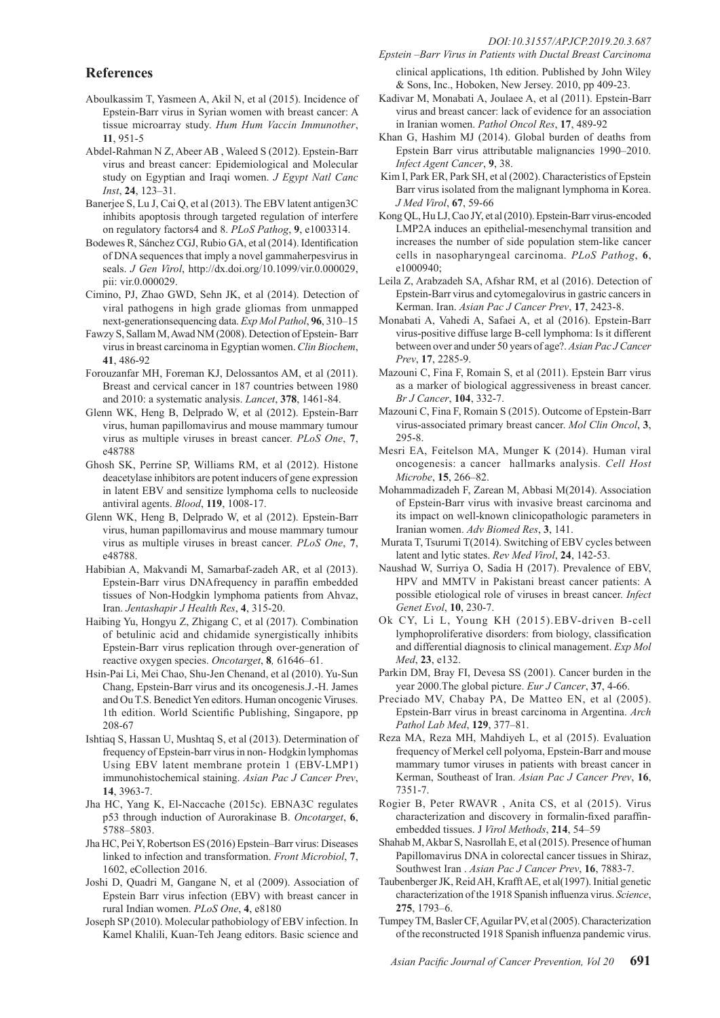# **References**

- Aboulkassim T, Yasmeen A, Akil N, et al (2015). Incidence of Epstein-Barr virus in Syrian women with breast cancer: A tissue microarray study. *Hum Hum Vaccin Immunother*, **11**, 951-5
- Abdel-Rahman N Z, Abeer AB , Waleed S (2012). Epstein-Barr virus and breast cancer: Epidemiological and Molecular study on Egyptian and Iraqi women. *J Egypt Natl Canc Inst*, **24**, 123–31.
- Banerjee S, Lu J, Cai Q, et al (2013). The EBV latent antigen3C inhibits apoptosis through targeted regulation of interfere on regulatory factors4 and 8. *PLoS Pathog*, **9**, e1003314.
- Bodewes R, Sánchez CGJ, Rubio GA, et al (2014). Identification of DNA sequences that imply a novel gammaherpesvirus in seals. *J Gen Virol*, http://dx.doi.org/10.1099/vir.0.000029, pii: vir.0.000029.
- Cimino, PJ, Zhao GWD, Sehn JK, et al (2014). Detection of viral pathogens in high grade gliomas from unmapped next-generationsequencing data. *Exp Mol Pathol*, **96**, 310–15
- Fawzy S, Sallam M, Awad NM (2008). Detection of Epstein- Barr virus in breast carcinoma in Egyptian women. *Clin Biochem*, **41**, 486-92
- Forouzanfar MH, Foreman KJ, Delossantos AM, et al (2011). Breast and cervical cancer in 187 countries between 1980 and 2010: a systematic analysis. *Lancet*, **378**, 1461-84.
- Glenn WK, Heng B, Delprado W, et al (2012). Epstein-Barr virus, human papillomavirus and mouse mammary tumour virus as multiple viruses in breast cancer. *PLoS One*, **7**, e48788
- Ghosh SK, Perrine SP, Williams RM, et al (2012). Histone deacetylase inhibitors are potent inducers of gene expression in latent EBV and sensitize lymphoma cells to nucleoside antiviral agents. *Blood*, **119**, 1008-17.
- Glenn WK, Heng B, Delprado W, et al (2012). Epstein-Barr virus, human papillomavirus and mouse mammary tumour virus as multiple viruses in breast cancer. *PLoS One*, **7**, e48788.
- Habibian A, Makvandi M, Samarbaf-zadeh AR, et al (2013). Epstein-Barr virus DNAfrequency in paraffin embedded tissues of Non-Hodgkin lymphoma patients from Ahvaz, Iran. *Jentashapir J Health Res*, **4**, 315-20.
- Haibing Yu, Hongyu Z, Zhigang C, et al (2017). Combination of betulinic acid and chidamide synergistically inhibits Epstein-Barr virus replication through over-generation of reactive oxygen species. *Oncotarget*, **8***,* 61646–61.
- Hsin-Pai Li, Mei Chao, Shu-Jen Chenand, et al (2010). Yu-Sun Chang, Epstein-Barr virus and its oncogenesis.J.-H. James and Ou T.S. Benedict Yen editors. Human oncogenic Viruses. 1th edition. World Scientific Publishing, Singapore, pp 208-67
- Ishtiaq S, Hassan U, Mushtaq S, et al (2013). Determination of frequency of Epstein-barr virus in non- Hodgkin lymphomas Using EBV latent membrane protein 1 (EBV-LMP1) immunohistochemical staining. *Asian Pac J Cancer Prev*, **14**, 3963-7.
- Jha HC, Yang K, El-Naccache (2015c). EBNA3C regulates p53 through induction of Aurorakinase B. *Oncotarget*, **6**, 5788–5803.
- Jha HC, Pei Y, Robertson ES (2016) Epstein–Barr virus: Diseases linked to infection and transformation. *Front Microbiol*, **7**, 1602, eCollection 2016.
- Joshi D, Quadri M, Gangane N, et al (2009). Association of Epstein Barr virus infection (EBV) with breast cancer in rural Indian women. *PLoS One*, **4**, e8180
- Joseph SP (2010). Molecular pathobiology of EBV infection. In Kamel Khalili, Kuan-Teh Jeang editors. Basic science and

*Epstein –Barr Virus in Patients with Ductal Breast Carcinoma* 

clinical applications, 1th edition. Published by John Wiley & Sons, Inc., Hoboken, New Jersey. 2010, pp 409-23.

- Kadivar M, Monabati A, Joulaee A, et al (2011). Epstein-Barr virus and breast cancer: lack of evidence for an association in Iranian women. *Pathol Oncol Res*, **17**, 489-92
- Khan G, Hashim MJ (2014). Global burden of deaths from Epstein Barr virus attributable malignancies 1990–2010. *Infect Agent Cancer*, **9**, 38.
- Kim I, Park ER, Park SH, et al (2002). Characteristics of Epstein Barr virus isolated from the malignant lymphoma in Korea. *J Med Virol*, **67**, 59-66
- Kong QL, Hu LJ, Cao JY, et al (2010). Epstein-Barr virus-encoded LMP2A induces an epithelial-mesenchymal transition and increases the number of side population stem-like cancer cells in nasopharyngeal carcinoma. *PLoS Pathog*, **6**, e1000940;
- Leila Z, Arabzadeh SA, Afshar RM, et al (2016). Detection of Epstein-Barr virus and cytomegalovirus in gastric cancers in Kerman. Iran. *Asian Pac J Cancer Prev*, **17**, 2423-8.
- Monabati A, Vahedi A, Safaei A, et al (2016). Epstein-Barr virus-positive diffuse large B-cell lymphoma: Is it different between over and under 50 years of age?. *Asian Pac J Cancer Prev*, **17**, 2285-9.
- Mazouni C, Fina F, Romain S, et al (2011). Epstein Barr virus as a marker of biological aggressiveness in breast cancer. *Br J Cancer*, **104**, 332-7.
- Mazouni C, Fina F, Romain S (2015). Outcome of Epstein-Barr virus-associated primary breast cancer. *Mol Clin Oncol*, **3**, 295-8.
- Mesri EA, Feitelson MA, Munger K (2014). Human viral oncogenesis: a cancer hallmarks analysis. *Cell Host Microbe*, **15**, 266–82.
- Mohammadizadeh F, Zarean M, Abbasi M(2014). Association of Epstein-Barr virus with invasive breast carcinoma and its impact on well-known clinicopathologic parameters in Iranian women. *Adv Biomed Res*, **3**, 141.
- Murata T, Tsurumi T(2014). Switching of EBV cycles between latent and lytic states. *Rev Med Virol*, **24**, 142-53.
- Naushad W, Surriya O, Sadia H (2017). Prevalence of EBV, HPV and MMTV in Pakistani breast cancer patients: A possible etiological role of viruses in breast cancer. *Infect Genet Evol*, **10**, 230-7.
- Ok CY, Li L, Young KH (2015).EBV-driven B-cell lymphoproliferative disorders: from biology, classification and differential diagnosis to clinical management. *Exp Mol Med*, **23**, e132.
- Parkin DM, Bray FI, Devesa SS (2001). Cancer burden in the year 2000.The global picture. *Eur J Cancer*, **37**, 4-66.
- Preciado MV, Chabay PA, De Matteo EN, et al (2005). Epstein-Barr virus in breast carcinoma in Argentina. *Arch Pathol Lab Med*, **129**, 377–81.
- Reza MA, Reza MH, Mahdiyeh L, et al (2015). Evaluation frequency of Merkel cell polyoma, Epstein-Barr and mouse mammary tumor viruses in patients with breast cancer in Kerman, Southeast of Iran. *Asian Pac J Cancer Prev*, **16**, 7351-7.
- Rogier B, Peter RWAVR , Anita CS, et al (2015). Virus characterization and discovery in formalin-fixed paraffinembedded tissues. J *Virol Methods*, **214**, 54–59
- Shahab M, Akbar S, Nasrollah E, et al (2015). Presence of human Papillomavirus DNA in colorectal cancer tissues in Shiraz, Southwest Iran . *Asian Pac J Cancer Prev*, **16**, 7883-7.
- Taubenberger JK, Reid AH, Krafft AE, et al(1997). Initial genetic characterization of the 1918 Spanish influenza virus. *Science*, **275**, 1793–6.
- Tumpey TM, Basler CF, Aguilar PV, et al (2005). Characterization of the reconstructed 1918 Spanish influenza pandemic virus.